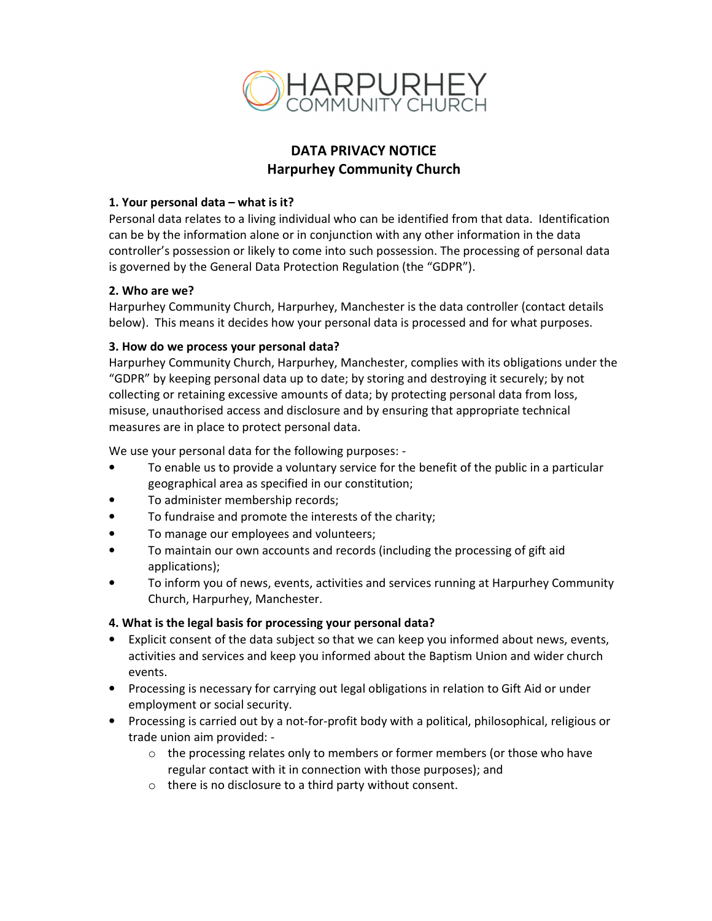

# **DATA PRIVACY NOTICE Harpurhey Community Church**

### **1. Your personal data – what is it?**

Personal data relates to a living individual who can be identified from that data. Identification can be by the information alone or in conjunction with any other information in the data controller's possession or likely to come into such possession. The processing of personal data is governed by the General Data Protection Regulation (the "GDPR").

### **2. Who are we?**

Harpurhey Community Church, Harpurhey, Manchester is the data controller (contact details below). This means it decides how your personal data is processed and for what purposes.

### **3. How do we process your personal data?**

Harpurhey Community Church, Harpurhey, Manchester, complies with its obligations under the "GDPR" by keeping personal data up to date; by storing and destroying it securely; by not collecting or retaining excessive amounts of data; by protecting personal data from loss, misuse, unauthorised access and disclosure and by ensuring that appropriate technical measures are in place to protect personal data.

We use your personal data for the following purposes: -

- To enable us to provide a voluntary service for the benefit of the public in a particular geographical area as specified in our constitution;
- To administer membership records;
- To fundraise and promote the interests of the charity;
- To manage our employees and volunteers;
- To maintain our own accounts and records (including the processing of gift aid applications);
- To inform you of news, events, activities and services running at Harpurhey Community Church, Harpurhey, Manchester.

# **4. What is the legal basis for processing your personal data?**

- Explicit consent of the data subject so that we can keep you informed about news, events, activities and services and keep you informed about the Baptism Union and wider church events.
- Processing is necessary for carrying out legal obligations in relation to Gift Aid or under employment or social security.
- Processing is carried out by a not-for-profit body with a political, philosophical, religious or trade union aim provided: -
	- $\circ$  the processing relates only to members or former members (or those who have regular contact with it in connection with those purposes); and
	- o there is no disclosure to a third party without consent.